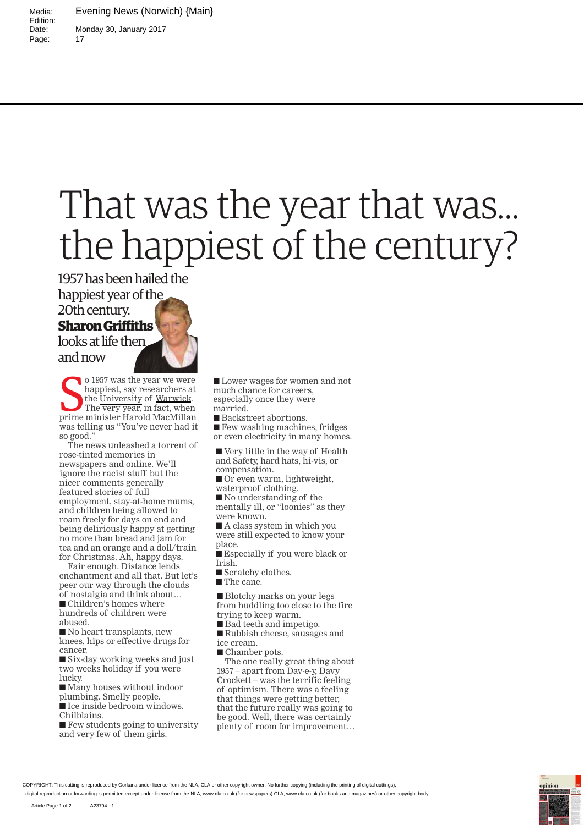Media: Evening News (Norwich) {Main} Monday 30, January 2017 Page: 17

Edition:<br>Date:

## That was the year that was... the happiest of the century?

1957 has been hailed the

happiest year of the

## 20th century.

## **Sharon Griffiths**

looks at life then and now

o 1957 was the year we were<br>happiest, say researchers at<br>the University of Warwick.<br>The very year, in fact, when<br>prime minister Harold MacMillan o 1957 was the year we were happiest, say researchers at the University of Warwick. The very year, in fact, when was telling us "You've never had it so good."

The news unleashed a torrent of rose-tinted memories in newspapers and online. We'll ignore the racist stuff but the nicer comments generally featured stories of full employment, stay-at-home mums, and children being allowed to roam freely for days on end and being deliriously happy at getting no more than bread and jam for tea and an orange and a doll/train for Christmas. Ah, happy days.

Fair enough. Distance lends enchantment and all that. But let's peer our way through the clouds of nostalgia and think about… ■ Children's homes where hundreds of children were

abused.

■ No heart transplants, new knees, hips or effective drugs for cancer.

■ Six-day working weeks and just two weeks holiday if you were lucky.

■ Many houses without indoor

plumbing. Smelly people. ■ Ice inside bedroom windows.

Chilblains.

 $\blacksquare$  Few students going to university and very few of them girls.

■ Lower wages for women and not much chance for careers, especially once they were married.

■ Backstreet abortions.

■ Few washing machines, fridges or even electricity in many homes.

■ Very little in the way of Health and Safety, hard hats, hi-vis, or compensation.

■ Or even warm, lightweight,

waterproof clothing.

■ No understanding of the mentally ill, or "loonies" as they were known.

■ A class system in which you were still expected to know your place.

■ Especially if you were black or Irish.

■ Scratchy clothes.

■ The cane.

■ Blotchy marks on your legs from huddling too close to the fire

trying to keep warm.

- Bad teeth and impetigo.
- Rubbish cheese, sausages and

ice cream.

■ Chamber pots.

The one really great thing about 1957 – apart from Dav-e-y, Davy Crockett – was the terrific feeling of optimism. There was a feeling that things were getting better, that the future really was going to be good. Well, there was certainly plenty of room for improvement…

COPYRIGHT: This cutting is reproduced by Gorkana under licence from the NLA, CLA or other copyright owner. No further copying (including the printing of digital cuttings)

digital reproduction or forwarding is permitted except under license from the NLA, www.nla.co.uk (for newspapers) CLA, www.cla.co.uk (for books and magazines) or other copyright body.